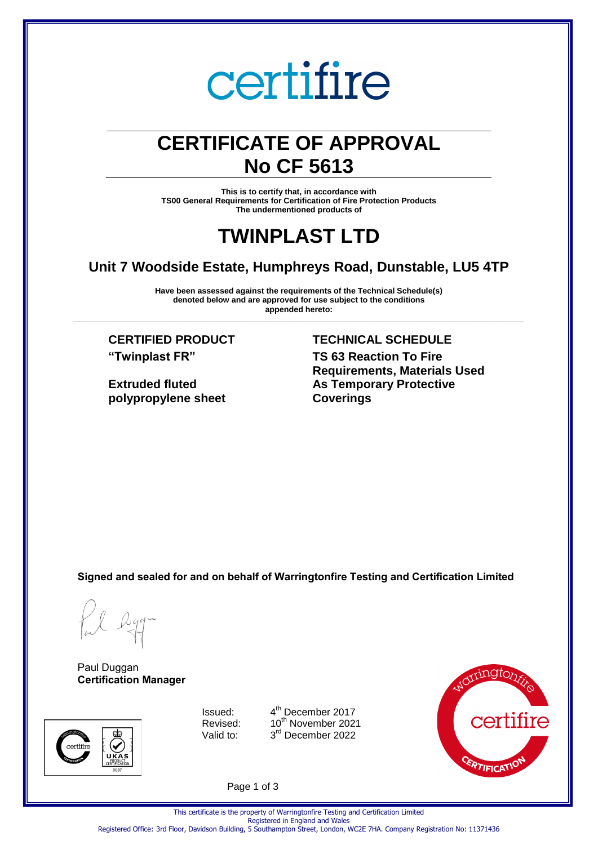## certifire

### **CERTIFICATE OF APPROVAL No CF 5613**

**This is to certify that, in accordance with TS00 General Requirements for Certification of Fire Protection Products The undermentioned products of** 

### **TWINPLAST LTD**

#### **Unit 7 Woodside Estate, Humphreys Road, Dunstable, LU5 4TP**

**Have been assessed against the requirements of the Technical Schedule(s) denoted below and are approved for use subject to the conditions appended hereto:** 

**\_\_\_\_\_\_\_\_\_\_\_\_\_\_\_\_\_\_\_\_\_\_\_\_\_\_\_\_\_\_\_\_\_\_\_\_\_\_\_\_\_\_\_\_\_\_\_\_\_\_\_\_\_\_\_\_\_\_\_\_\_\_\_\_\_\_\_\_\_\_\_\_\_\_\_\_\_\_\_\_\_\_\_\_\_\_\_\_\_\_\_\_\_\_\_\_\_\_\_\_\_**

**"Twinplast FR"**

**Extruded fluted polypropylene sheet**

#### **CERTIFIED PRODUCT TECHNICAL SCHEDULE**

**TS 63 Reaction To Fire Requirements, Materials Used As Temporary Protective Coverings**

**Signed and sealed for and on behalf of Warringtonfire Testing and Certification Limited**

Paul Duggan **Certification Manager**



Issued: 4 Valid to:

4<sup>th</sup> December 2017 Revised: 10<sup>th</sup> November 2021 3<sup>rd</sup> December 2022



Page 1 of 3

This certificate is the property of Warringtonfire Testing and Certification Limited Registered in England and Wales

Registered Office: 3rd Floor, Davidson Building, 5 Southampton Street, London, WC2E 7HA. Company Registration No: 11371436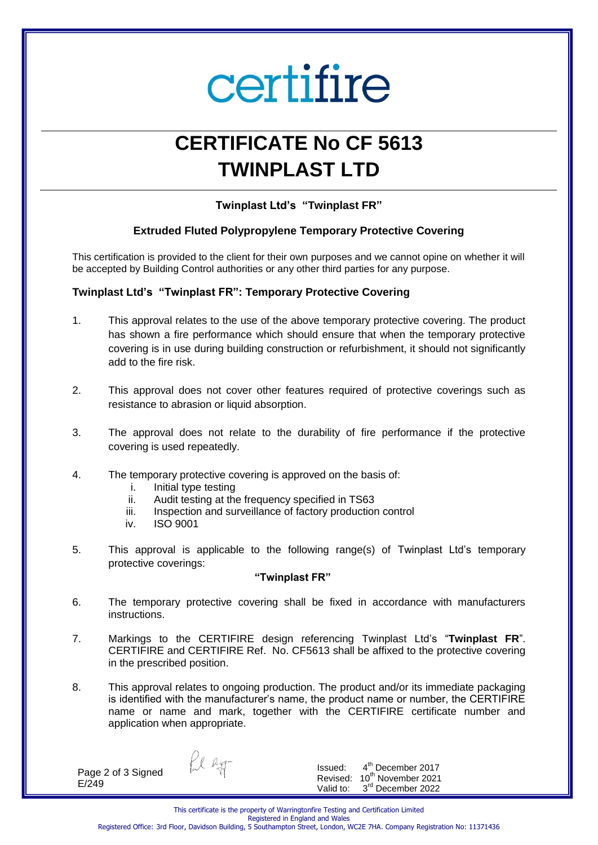# certifire

## **CERTIFICATE No CF 5613 TWINPLAST LTD**

**Twinplast Ltd's "Twinplast FR"** 

#### **Extruded Fluted Polypropylene Temporary Protective Covering**

This certification is provided to the client for their own purposes and we cannot opine on whether it will be accepted by Building Control authorities or any other third parties for any purpose.

#### **Twinplast Ltd's "Twinplast FR": Temporary Protective Covering**

- 1. This approval relates to the use of the above temporary protective covering. The product has shown a fire performance which should ensure that when the temporary protective covering is in use during building construction or refurbishment, it should not significantly add to the fire risk.
- 2. This approval does not cover other features required of protective coverings such as resistance to abrasion or liquid absorption.
- 3. The approval does not relate to the durability of fire performance if the protective covering is used repeatedly.
- 4. The temporary protective covering is approved on the basis of:
	- i. Initial type testing
	- ii. Audit testing at the frequency specified in TS63
	- iii. Inspection and surveillance of factory production control
	- iv. ISO 9001
- 5. This approval is applicable to the following range(s) of Twinplast Ltd's temporary protective coverings:

#### **"Twinplast FR"**

- 6. The temporary protective covering shall be fixed in accordance with manufacturers instructions.
- 7. Markings to the CERTIFIRE design referencing Twinplast Ltd's "**Twinplast FR**". CERTIFIRE and CERTIFIRE Ref. No. CF5613 shall be affixed to the protective covering in the prescribed position.
- 8. This approval relates to ongoing production. The product and/or its immediate packaging is identified with the manufacturer's name, the product name or number, the CERTIFIRE name or name and mark, together with the CERTIFIRE certificate number and application when appropriate.

Page 2 of 3 Signed E/249

fil ligg-

Issued: 4 4<sup>th</sup> December 2017 Revised: 10<sup>th</sup> November 2021 Valid to: 3<sup>rd</sup> December 2022